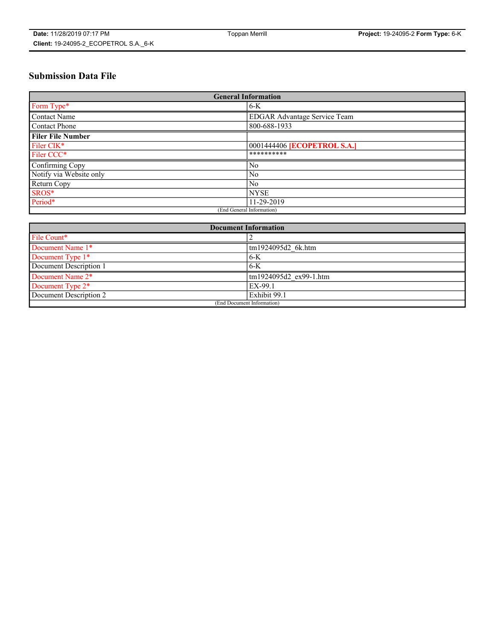# **Submission Data File**

| <b>General Information</b> |                                     |
|----------------------------|-------------------------------------|
| Form Type*                 | $6-K$                               |
| Contact Name               | <b>EDGAR Advantage Service Team</b> |
| Contact Phone              | 800-688-1933                        |
| <b>Filer File Number</b>   |                                     |
| Filer CIK*                 | 0001444406 <b>[ECOPETROL S.A.]</b>  |
| Filer CCC*                 | **********                          |
| Confirming Copy            | N <sub>0</sub>                      |
| Notify via Website only    | N <sub>0</sub>                      |
| Return Copy                | N <sub>0</sub>                      |
| SROS*                      | <b>NYSE</b>                         |
| Period*                    | 11-29-2019                          |
| (End General Information)  |                                     |

| <b>Document Information</b> |                        |
|-----------------------------|------------------------|
| File Count*                 |                        |
| Document Name 1*            | tm1924095d2 6k.htm     |
| Document Type 1*            | $6 - K$                |
| Document Description 1      | $-6-K$                 |
| Document Name 2*            | tm1924095d2 ex99-1.htm |
| Document Type 2*            | EX-99.1                |
| Document Description 2      | Exhibit 99.1           |
| (End Document Information)  |                        |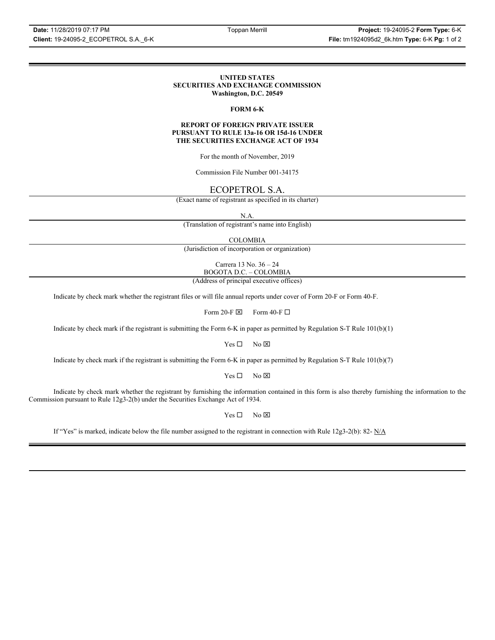### **UNITED STATES SECURITIES AND EXCHANGE COMMISSION Washington, D.C. 20549**

### **FORM 6-K**

### **REPORT OF FOREIGN PRIVATE ISSUER PURSUANT TO RULE 13a-16 OR 15d-16 UNDER THE SECURITIES EXCHANGE ACT OF 1934**

For the month of November, 2019

Commission File Number 001-34175

### ECOPETROL S.A.

(Exact name of registrant as specified in its charter)

N.A.

(Translation of registrant's name into English)

COLOMBIA

(Jurisdiction of incorporation or organization)

Carrera 13 No. 36 – 24 BOGOTA D.C. – COLOMBIA

(Address of principal executive offices)

Indicate by check mark whether the registrant files or will file annual reports under cover of Form 20-F or Form 40-F.

Form 20-F  $\boxtimes$  Form 40-F  $\Box$ 

Indicate by check mark if the registrant is submitting the Form 6-K in paper as permitted by Regulation S-T Rule 101(b)(1)

 $Yes \Box$  No  $\boxtimes$ 

Indicate by check mark if the registrant is submitting the Form 6-K in paper as permitted by Regulation S-T Rule 101(b)(7)

 $Yes \Box$  No  $\boxtimes$ 

Indicate by check mark whether the registrant by furnishing the information contained in this form is also thereby furnishing the information to the Commission pursuant to Rule 12g3-2(b) under the Securities Exchange Act of 1934.

 $Yes \Box$  No  $\boxtimes$ 

If "Yes" is marked, indicate below the file number assigned to the registrant in connection with Rule 12g3-2(b): 82- N/A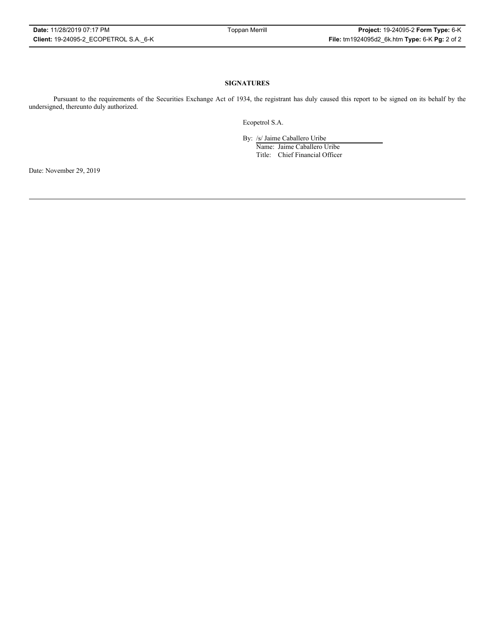### **SIGNATURES**

Pursuant to the requirements of the Securities Exchange Act of 1934, the registrant has duly caused this report to be signed on its behalf by the undersigned, thereunto duly authorized.

Ecopetrol S.A.

By: /s/ Jaime Caballero Uribe

Name: Jaime Caballero Uribe Title: Chief Financial Officer

Date: November 29, 2019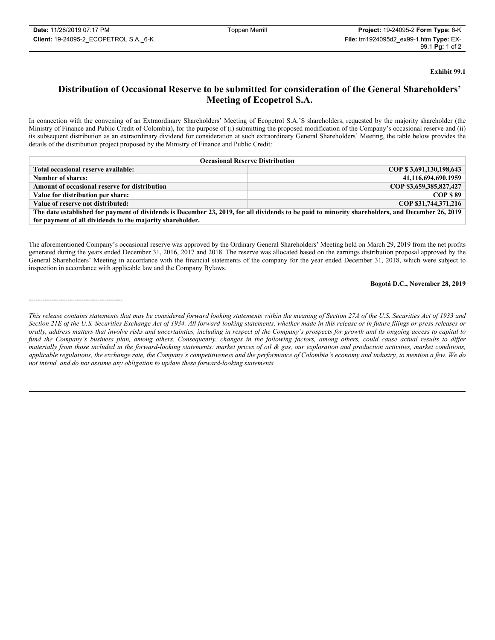-----------------------------------------

### **Exhibit 99.1**

## **Distribution of Occasional Reserve to be submitted for consideration of the General Shareholders' Meeting of Ecopetrol S.A.**

In connection with the convening of an Extraordinary Shareholders' Meeting of Ecopetrol S.A.'S shareholders, requested by the majority shareholder (the Ministry of Finance and Public Credit of Colombia), for the purpose of (i) submitting the proposed modification of the Company's occasional reserve and (ii) its subsequent distribution as an extraordinary dividend for consideration at such extraordinary General Shareholders' Meeting, the table below provides the details of the distribution project proposed by the Ministry of Finance and Public Credit:

| <b>Occasional Reserve Distribution</b>                                                                                                           |                         |  |
|--------------------------------------------------------------------------------------------------------------------------------------------------|-------------------------|--|
| Total occasional reserve available:                                                                                                              | COP \$3,691,130,198,643 |  |
| Number of shares:                                                                                                                                | 41,116,694,690.1959     |  |
| Amount of occasional reserve for distribution                                                                                                    | COP \$3,659,385,827,427 |  |
| Value for distribution per share:                                                                                                                | COP \$89                |  |
| Value of reserve not distributed:                                                                                                                | COP \$31,744,371,216    |  |
| The date established for payment of dividends is December 23, 2019, for all dividends to be paid to minority shareholders, and December 26, 2019 |                         |  |
| for payment of all dividends to the majority shareholder.                                                                                        |                         |  |

The aforementioned Company's occasional reserve was approved by the Ordinary General Shareholders' Meeting held on March 29, 2019 from the net profits generated during the years ended December 31, 2016, 2017 and 2018. The reserve was allocated based on the earnings distribution proposal approved by the General Shareholders' Meeting in accordance with the financial statements of the company for the year ended December 31, 2018, which were subject to inspection in accordance with applicable law and the Company Bylaws.

### **Bogotá D.C., November 28, 2019**

*This release contains statements that may be considered forward looking statements within the meaning of Section 27A of the U.S. Securities Act of 1933 and Section 21E of the U.S. Securities Exchange Act of 1934. All forward-looking statements, whether made in this release or in future filings or press releases or orally, address matters that involve risks and uncertainties, including in respect of the Company's prospects for growth and its ongoing access to capital to*  fund the Company's business plan, among others. Consequently, changes in the following factors, among others, could cause actual results to differ *materially from those included in the forward-looking statements: market prices of oil & gas, our exploration and production activities, market conditions, applicable regulations, the exchange rate, the Company's competitiveness and the performance of Colombia's economy and industry, to mention a few. We do not intend, and do not assume any obligation to update these forward-looking statements.*